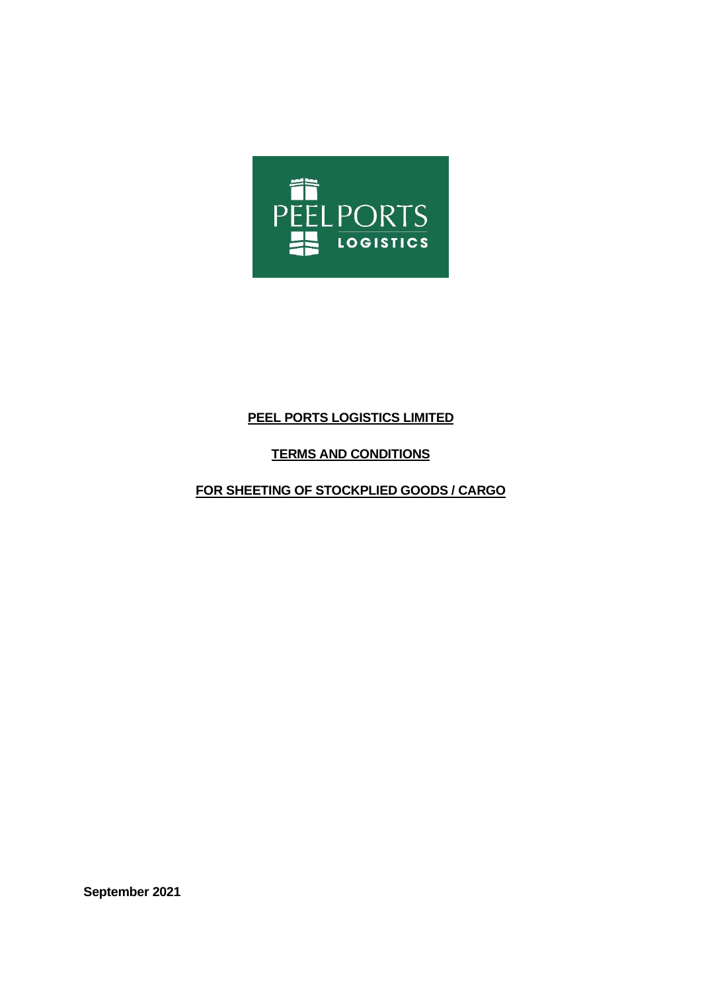

# **PEEL PORTS LOGISTICS LIMITED**

## **TERMS AND CONDITIONS**

## **FOR SHEETING OF STOCKPLIED GOODS / CARGO**

**September 2021**